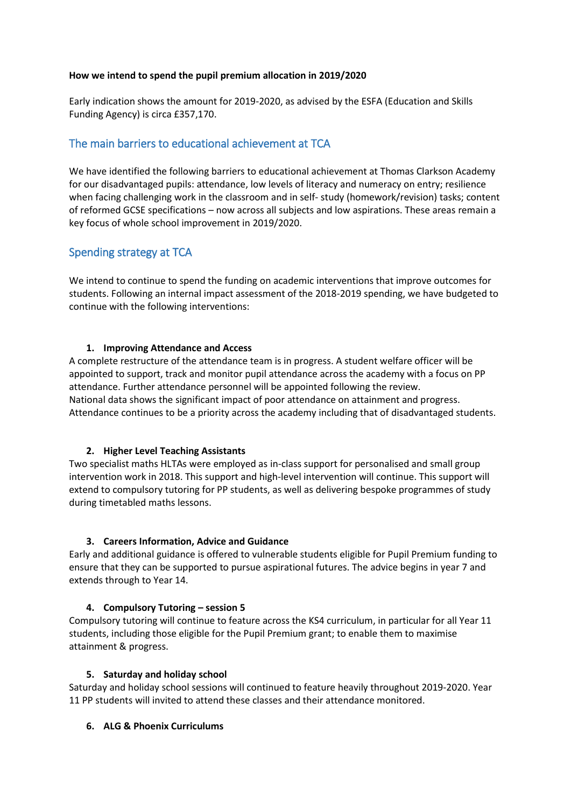## **How we intend to spend the pupil premium allocation in 2019/2020**

Early indication shows the amount for 2019-2020, as advised by the ESFA (Education and Skills Funding Agency) is circa £357,170.

# The main barriers to educational achievement at TCA

We have identified the following barriers to educational achievement at Thomas Clarkson Academy for our disadvantaged pupils: attendance, low levels of literacy and numeracy on entry; resilience when facing challenging work in the classroom and in self- study (homework/revision) tasks; content of reformed GCSE specifications – now across all subjects and low aspirations. These areas remain a key focus of whole school improvement in 2019/2020.

# Spending strategy at TCA

We intend to continue to spend the funding on academic interventions that improve outcomes for students. Following an internal impact assessment of the 2018-2019 spending, we have budgeted to continue with the following interventions:

## **1. Improving Attendance and Access**

A complete restructure of the attendance team is in progress. A student welfare officer will be appointed to support, track and monitor pupil attendance across the academy with a focus on PP attendance. Further attendance personnel will be appointed following the review. National data shows the significant impact of poor attendance on attainment and progress. Attendance continues to be a priority across the academy including that of disadvantaged students.

# **2. Higher Level Teaching Assistants**

Two specialist maths HLTAs were employed as in-class support for personalised and small group intervention work in 2018. This support and high-level intervention will continue. This support will extend to compulsory tutoring for PP students, as well as delivering bespoke programmes of study during timetabled maths lessons.

# **3. Careers Information, Advice and Guidance**

Early and additional guidance is offered to vulnerable students eligible for Pupil Premium funding to ensure that they can be supported to pursue aspirational futures. The advice begins in year 7 and extends through to Year 14.

# **4. Compulsory Tutoring – session 5**

Compulsory tutoring will continue to feature across the KS4 curriculum, in particular for all Year 11 students, including those eligible for the Pupil Premium grant; to enable them to maximise attainment & progress.

#### **5. Saturday and holiday school**

Saturday and holiday school sessions will continued to feature heavily throughout 2019-2020. Year 11 PP students will invited to attend these classes and their attendance monitored.

#### **6. ALG & Phoenix Curriculums**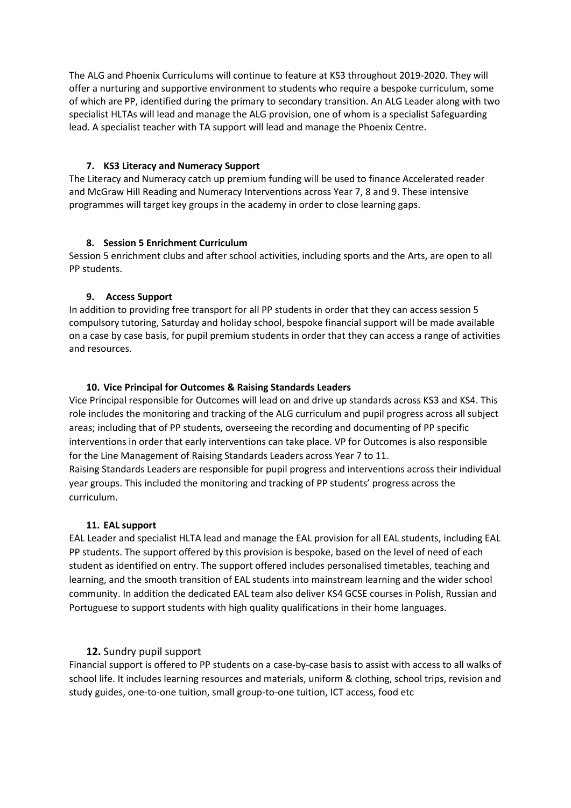The ALG and Phoenix Curriculums will continue to feature at KS3 throughout 2019-2020. They will offer a nurturing and supportive environment to students who require a bespoke curriculum, some of which are PP, identified during the primary to secondary transition. An ALG Leader along with two specialist HLTAs will lead and manage the ALG provision, one of whom is a specialist Safeguarding lead. A specialist teacher with TA support will lead and manage the Phoenix Centre.

## **7. KS3 Literacy and Numeracy Support**

The Literacy and Numeracy catch up premium funding will be used to finance Accelerated reader and McGraw Hill Reading and Numeracy Interventions across Year 7, 8 and 9. These intensive programmes will target key groups in the academy in order to close learning gaps.

# **8. Session 5 Enrichment Curriculum**

Session 5 enrichment clubs and after school activities, including sports and the Arts, are open to all PP students.

## **9. Access Support**

In addition to providing free transport for all PP students in order that they can access session 5 compulsory tutoring, Saturday and holiday school, bespoke financial support will be made available on a case by case basis, for pupil premium students in order that they can access a range of activities and resources.

## **10. Vice Principal for Outcomes & Raising Standards Leaders**

Vice Principal responsible for Outcomes will lead on and drive up standards across KS3 and KS4. This role includes the monitoring and tracking of the ALG curriculum and pupil progress across all subject areas; including that of PP students, overseeing the recording and documenting of PP specific interventions in order that early interventions can take place. VP for Outcomes is also responsible for the Line Management of Raising Standards Leaders across Year 7 to 11.

Raising Standards Leaders are responsible for pupil progress and interventions across their individual year groups. This included the monitoring and tracking of PP students' progress across the curriculum.

#### **11. EAL support**

EAL Leader and specialist HLTA lead and manage the EAL provision for all EAL students, including EAL PP students. The support offered by this provision is bespoke, based on the level of need of each student as identified on entry. The support offered includes personalised timetables, teaching and learning, and the smooth transition of EAL students into mainstream learning and the wider school community. In addition the dedicated EAL team also deliver KS4 GCSE courses in Polish, Russian and Portuguese to support students with high quality qualifications in their home languages.

# **12.** Sundry pupil support

Financial support is offered to PP students on a case-by-case basis to assist with access to all walks of school life. It includes learning resources and materials, uniform & clothing, school trips, revision and study guides, one-to-one tuition, small group-to-one tuition, ICT access, food etc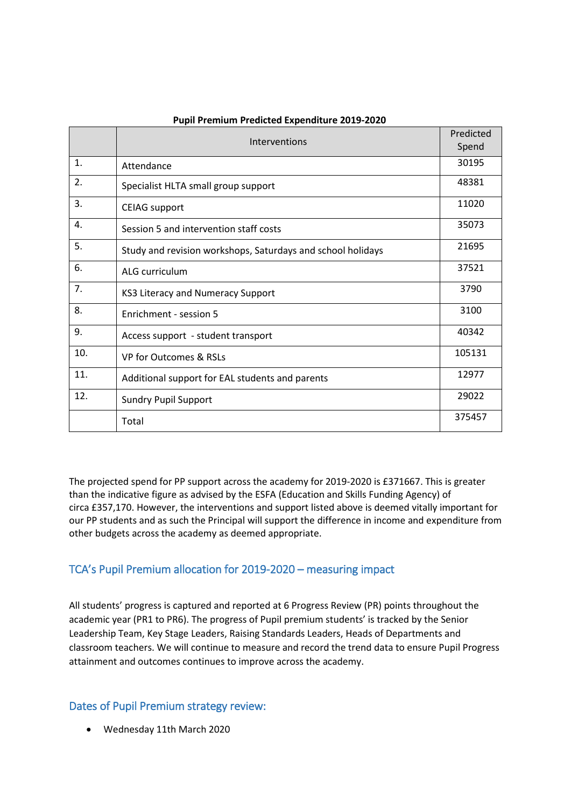|     | Interventions                                               | Predicted<br>Spend |
|-----|-------------------------------------------------------------|--------------------|
| 1.  | Attendance                                                  | 30195              |
| 2.  | Specialist HLTA small group support                         | 48381              |
| 3.  | <b>CEIAG</b> support                                        | 11020              |
| 4.  | Session 5 and intervention staff costs                      | 35073              |
| 5.  | Study and revision workshops, Saturdays and school holidays | 21695              |
| 6.  | ALG curriculum                                              | 37521              |
| 7.  | KS3 Literacy and Numeracy Support                           | 3790               |
| 8.  | Enrichment - session 5                                      | 3100               |
| 9.  | Access support - student transport                          | 40342              |
| 10. | VP for Outcomes & RSLs                                      | 105131             |
| 11. | Additional support for EAL students and parents             | 12977              |
| 12. | <b>Sundry Pupil Support</b>                                 | 29022              |
|     | Total                                                       | 375457             |

#### **Pupil Premium Predicted Expenditure 2019-2020**

The projected spend for PP support across the academy for 2019-2020 is £371667. This is greater than the indicative figure as advised by the ESFA (Education and Skills Funding Agency) of circa £357,170. However, the interventions and support listed above is deemed vitally important for our PP students and as such the Principal will support the difference in income and expenditure from other budgets across the academy as deemed appropriate.

# TCA's Pupil Premium allocation for 2019-2020 – measuring impact

All students' progress is captured and reported at 6 Progress Review (PR) points throughout the academic year (PR1 to PR6). The progress of Pupil premium students' is tracked by the Senior Leadership Team, Key Stage Leaders, Raising Standards Leaders, Heads of Departments and classroom teachers. We will continue to measure and record the trend data to ensure Pupil Progress attainment and outcomes continues to improve across the academy.

# Dates of Pupil Premium strategy review:

Wednesday 11th March 2020